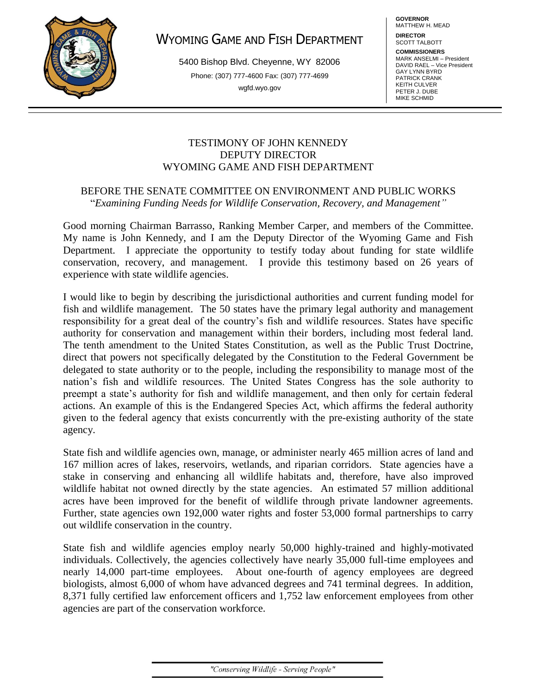

# WYOMING GAME AND FISH DEPARTMENT

5400 Bishop Blvd. Cheyenne, WY 82006 Phone: (307) 777-4600 Fax: (307) 777-4699 wgfd.wyo.gov

**GOVERNOR** MATTHEW H. MEAD

**DIRECTOR** SCOTT TALBOTT

**COMMISSIONERS** MARK ANSELMI – President DAVID RAEL – Vice President GAY LYNN BYRD PATRICK CRANK KEITH CULVER PETER J. DUBE MIKE SCHMID

### TESTIMONY OF JOHN KENNEDY DEPUTY DIRECTOR WYOMING GAME AND FISH DEPARTMENT

### BEFORE THE SENATE COMMITTEE ON ENVIRONMENT AND PUBLIC WORKS "*Examining Funding Needs for Wildlife Conservation, Recovery, and Management"*

Good morning Chairman Barrasso, Ranking Member Carper, and members of the Committee. My name is John Kennedy, and I am the Deputy Director of the Wyoming Game and Fish Department. I appreciate the opportunity to testify today about funding for state wildlife conservation, recovery, and management. I provide this testimony based on 26 years of experience with state wildlife agencies.

I would like to begin by describing the jurisdictional authorities and current funding model for fish and wildlife management. The 50 states have the primary legal authority and management responsibility for a great deal of the country's fish and wildlife resources. States have specific authority for conservation and management within their borders, including most federal land. The tenth amendment to the United States Constitution, as well as the Public Trust Doctrine, direct that powers not specifically delegated by the Constitution to the Federal Government be delegated to state authority or to the people, including the responsibility to manage most of the nation's fish and wildlife resources. The United States Congress has the sole authority to preempt a state's authority for fish and wildlife management, and then only for certain federal actions. An example of this is the Endangered Species Act, which affirms the federal authority given to the federal agency that exists concurrently with the pre-existing authority of the state agency.

State fish and wildlife agencies own, manage, or administer nearly 465 million acres of land and 167 million acres of lakes, reservoirs, wetlands, and riparian corridors. State agencies have a stake in conserving and enhancing all wildlife habitats and, therefore, have also improved wildlife habitat not owned directly by the state agencies. An estimated 57 million additional acres have been improved for the benefit of wildlife through private landowner agreements. Further, state agencies own 192,000 water rights and foster 53,000 formal partnerships to carry out wildlife conservation in the country.

State fish and wildlife agencies employ nearly 50,000 highly-trained and highly-motivated individuals. Collectively, the agencies collectively have nearly 35,000 full-time employees and nearly 14,000 part-time employees. About one-fourth of agency employees are degreed biologists, almost 6,000 of whom have advanced degrees and 741 terminal degrees. In addition, 8,371 fully certified law enforcement officers and 1,752 law enforcement employees from other agencies are part of the conservation workforce.

"Conserving Wildlife - Serving People"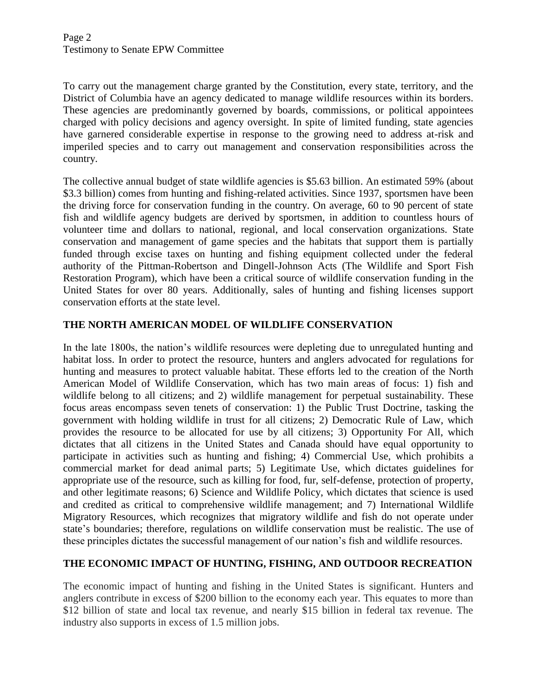To carry out the management charge granted by the Constitution, every state, territory, and the District of Columbia have an agency dedicated to manage wildlife resources within its borders. These agencies are predominantly governed by boards, commissions, or political appointees charged with policy decisions and agency oversight. In spite of limited funding, state agencies have garnered considerable expertise in response to the growing need to address at-risk and imperiled species and to carry out management and conservation responsibilities across the country.

The collective annual budget of state wildlife agencies is \$5.63 billion. An estimated 59% (about \$3.3 billion) comes from hunting and fishing-related activities. Since 1937, sportsmen have been the driving force for conservation funding in the country. On average, 60 to 90 percent of state fish and wildlife agency budgets are derived by sportsmen, in addition to countless hours of volunteer time and dollars to national, regional, and local conservation organizations. State conservation and management of game species and the habitats that support them is partially funded through excise taxes on hunting and fishing equipment collected under the federal authority of the Pittman-Robertson and Dingell-Johnson Acts (The Wildlife and Sport Fish Restoration Program), which have been a critical source of wildlife conservation funding in the United States for over 80 years. Additionally, sales of hunting and fishing licenses support conservation efforts at the state level.

# **THE NORTH AMERICAN MODEL OF WILDLIFE CONSERVATION**

In the late 1800s, the nation's wildlife resources were depleting due to unregulated hunting and habitat loss. In order to protect the resource, hunters and anglers advocated for regulations for hunting and measures to protect valuable habitat. These efforts led to the creation of the North American Model of Wildlife Conservation, which has two main areas of focus: 1) fish and wildlife belong to all citizens; and 2) wildlife management for perpetual sustainability. These focus areas encompass seven tenets of conservation: 1) the Public Trust Doctrine, tasking the government with holding wildlife in trust for all citizens; 2) Democratic Rule of Law, which provides the resource to be allocated for use by all citizens; 3) Opportunity For All, which dictates that all citizens in the United States and Canada should have equal opportunity to participate in activities such as hunting and fishing; 4) Commercial Use, which prohibits a commercial market for dead animal parts; 5) Legitimate Use, which dictates guidelines for appropriate use of the resource, such as killing for food, fur, self-defense, protection of property, and other legitimate reasons; 6) Science and Wildlife Policy, which dictates that science is used and credited as critical to comprehensive wildlife management; and 7) International Wildlife Migratory Resources, which recognizes that migratory wildlife and fish do not operate under state's boundaries; therefore, regulations on wildlife conservation must be realistic. The use of these principles dictates the successful management of our nation's fish and wildlife resources.

# **THE ECONOMIC IMPACT OF HUNTING, FISHING, AND OUTDOOR RECREATION**

The economic impact of hunting and fishing in the United States is significant. Hunters and anglers contribute in excess of \$200 billion to the economy each year. This equates to more than \$12 billion of state and local tax revenue, and nearly \$15 billion in federal tax revenue. The industry also supports in excess of 1.5 million jobs.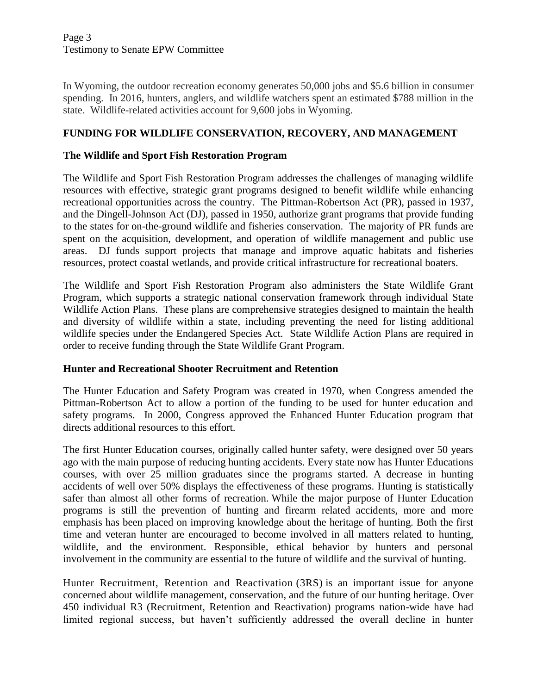Page 3 Testimony to Senate EPW Committee

In Wyoming, the outdoor recreation economy generates 50,000 jobs and \$5.6 billion in consumer spending. In 2016, hunters, anglers, and wildlife watchers spent an estimated \$788 million in the state. Wildlife-related activities account for 9,600 jobs in Wyoming.

# **FUNDING FOR WILDLIFE CONSERVATION, RECOVERY, AND MANAGEMENT**

### **The Wildlife and Sport Fish Restoration Program**

The Wildlife and Sport Fish Restoration Program addresses the challenges of managing wildlife resources with effective, strategic grant programs designed to benefit wildlife while enhancing recreational opportunities across the country. The Pittman-Robertson Act (PR), passed in 1937, and the Dingell-Johnson Act (DJ), passed in 1950, authorize grant programs that provide funding to the states for on-the-ground wildlife and fisheries conservation. The majority of PR funds are spent on the acquisition, development, and operation of wildlife management and public use areas. DJ funds support projects that manage and improve aquatic habitats and fisheries resources, protect coastal wetlands, and provide critical infrastructure for recreational boaters.

The Wildlife and Sport Fish Restoration Program also administers the State Wildlife Grant Program, which supports a strategic national conservation framework through individual State Wildlife Action Plans. These plans are comprehensive strategies designed to maintain the health and diversity of wildlife within a state, including preventing the need for listing additional wildlife species under the Endangered Species Act. State Wildlife Action Plans are required in order to receive funding through the State Wildlife Grant Program.

#### **Hunter and Recreational Shooter Recruitment and Retention**

The Hunter Education and Safety Program was created in 1970, when Congress amended the Pittman-Robertson Act to allow a portion of the funding to be used for hunter education and safety programs. In 2000, Congress approved the Enhanced Hunter Education program that directs additional resources to this effort.

The first Hunter Education courses, originally called hunter safety, were designed over 50 years ago with the main purpose of reducing hunting accidents. Every state now has Hunter Educations courses, with over 25 million graduates since the programs started. A decrease in hunting accidents of well over 50% displays the effectiveness of these programs. Hunting is statistically safer than almost all other forms of recreation. While the major purpose of Hunter Education programs is still the prevention of hunting and firearm related accidents, more and more emphasis has been placed on improving knowledge about the heritage of hunting. Both the first time and veteran hunter are encouraged to become involved in all matters related to hunting, wildlife, and the environment. Responsible, ethical behavior by hunters and personal involvement in the community are essential to the future of wildlife and the survival of hunting.

Hunter Recruitment, Retention and Reactivation (3RS) is an important issue for anyone concerned about wildlife management, conservation, and the future of our hunting heritage. Over 450 individual R3 (Recruitment, Retention and Reactivation) programs nation-wide have had limited regional success, but haven't sufficiently addressed the overall decline in hunter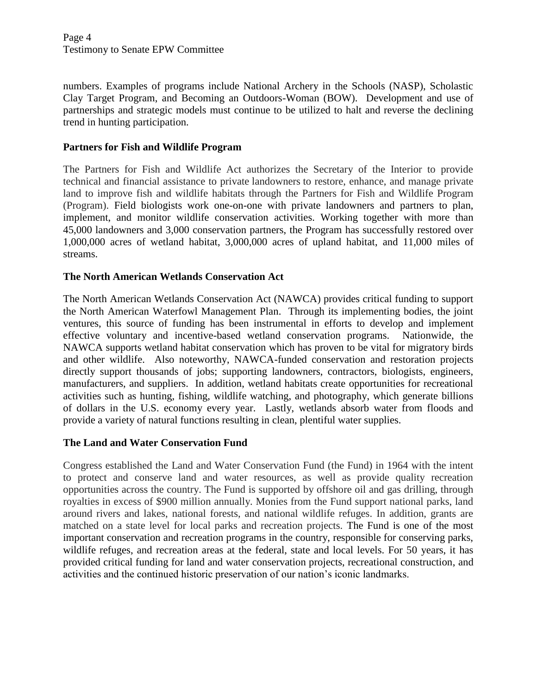numbers. Examples of programs include National Archery in the Schools (NASP), Scholastic Clay Target Program, and Becoming an Outdoors-Woman (BOW). Development and use of partnerships and strategic models must continue to be utilized to halt and reverse the declining trend in hunting participation.

# **Partners for Fish and Wildlife Program**

The Partners for Fish and Wildlife Act authorizes the Secretary of the Interior to provide technical and financial assistance to private landowners to restore, enhance, and manage private land to improve fish and wildlife habitats through the Partners for Fish and Wildlife Program (Program). Field biologists work one-on-one with private landowners and partners to plan, implement, and monitor wildlife conservation activities. Working together with more than 45,000 landowners and 3,000 conservation partners, the Program has successfully restored over 1,000,000 acres of wetland habitat, 3,000,000 acres of upland habitat, and 11,000 miles of streams.

# **The North American Wetlands Conservation Act**

The North American Wetlands Conservation Act (NAWCA) provides critical funding to support the North American Waterfowl Management Plan. Through its implementing bodies, the joint ventures, this source of funding has been instrumental in efforts to develop and implement effective voluntary and incentive-based wetland conservation programs. Nationwide, the NAWCA supports wetland habitat conservation which has proven to be vital for migratory birds and other wildlife. Also noteworthy, NAWCA-funded conservation and restoration projects directly support thousands of jobs; supporting landowners, contractors, biologists, engineers, manufacturers, and suppliers. In addition, wetland habitats create opportunities for recreational activities such as hunting, fishing, wildlife watching, and photography, which generate billions of dollars in the U.S. economy every year. Lastly, wetlands absorb water from floods and provide a variety of natural functions resulting in clean, plentiful water supplies.

# **The Land and Water Conservation Fund**

Congress established the Land and Water Conservation Fund (the Fund) in 1964 with the intent to protect and conserve land and water resources, as well as provide quality recreation opportunities across the country. The Fund is supported by offshore oil and gas drilling, through royalties in excess of \$900 million annually. Monies from the Fund support national parks, land around rivers and lakes, national forests, and national wildlife refuges. In addition, grants are matched on a state level for local parks and recreation projects. The Fund is one of the most important conservation and recreation programs in the country, responsible for conserving parks, wildlife refuges, and recreation areas at the federal, state and local levels. For 50 years, it has provided critical funding for land and water conservation projects, recreational construction, and activities and the continued historic preservation of our nation's iconic landmarks.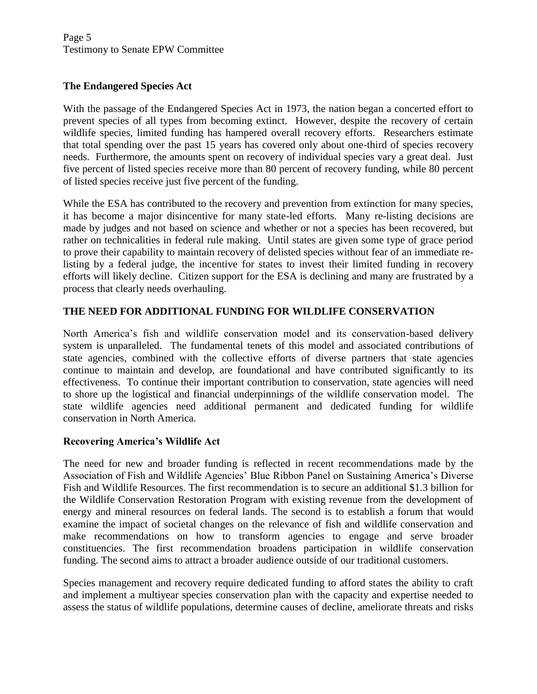# **The Endangered Species Act**

With the passage of the Endangered Species Act in 1973, the nation began a concerted effort to prevent species of all types from becoming extinct. However, despite the recovery of certain wildlife species, limited funding has hampered overall recovery efforts. Researchers estimate that total spending over the past 15 years has covered only about one-third of species recovery needs. Furthermore, the amounts spent on recovery of individual species vary a great deal. Just five percent of listed species receive more than 80 percent of recovery funding, while 80 percent of listed species receive just five percent of the funding.

While the ESA has contributed to the recovery and prevention from extinction for many species, it has become a major disincentive for many state-led efforts. Many re-listing decisions are made by judges and not based on science and whether or not a species has been recovered, but rather on technicalities in federal rule making. Until states are given some type of grace period to prove their capability to maintain recovery of delisted species without fear of an immediate relisting by a federal judge, the incentive for states to invest their limited funding in recovery efforts will likely decline. Citizen support for the ESA is declining and many are frustrated by a process that clearly needs overhauling.

# **THE NEED FOR ADDITIONAL FUNDING FOR WILDLIFE CONSERVATION**

North America's fish and wildlife conservation model and its conservation-based delivery system is unparalleled. The fundamental tenets of this model and associated contributions of state agencies, combined with the collective efforts of diverse partners that state agencies continue to maintain and develop, are foundational and have contributed significantly to its effectiveness. To continue their important contribution to conservation, state agencies will need to shore up the logistical and financial underpinnings of the wildlife conservation model. The state wildlife agencies need additional permanent and dedicated funding for wildlife conservation in North America.

# **Recovering America's Wildlife Act**

The need for new and broader funding is reflected in recent recommendations made by the Association of Fish and Wildlife Agencies' Blue Ribbon Panel on Sustaining America's Diverse Fish and Wildlife Resources. The first recommendation is to secure an additional \$1.3 billion for the Wildlife Conservation Restoration Program with existing revenue from the development of energy and mineral resources on federal lands. The second is to establish a forum that would examine the impact of societal changes on the relevance of fish and wildlife conservation and make recommendations on how to transform agencies to engage and serve broader constituencies. The first recommendation broadens participation in wildlife conservation funding. The second aims to attract a broader audience outside of our traditional customers.

Species management and recovery require dedicated funding to afford states the ability to craft and implement a multiyear species conservation plan with the capacity and expertise needed to assess the status of wildlife populations, determine causes of decline, ameliorate threats and risks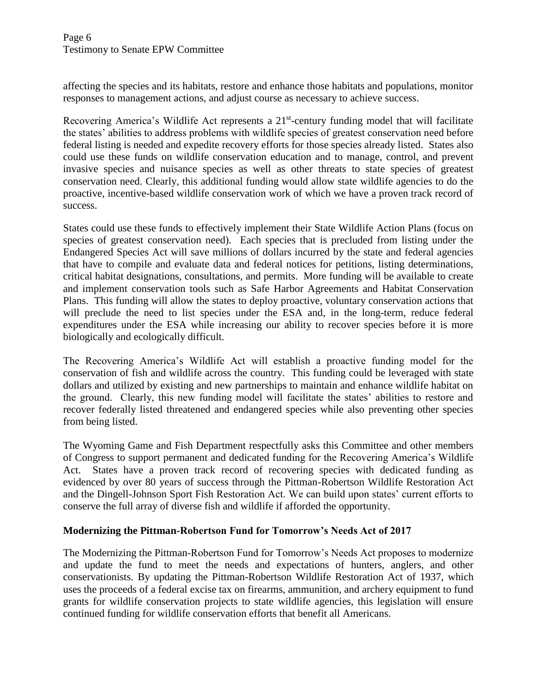affecting the species and its habitats, restore and enhance those habitats and populations, monitor responses to management actions, and adjust course as necessary to achieve success.

Recovering America's Wildlife Act represents a 21<sup>st</sup>-century funding model that will facilitate the states' abilities to address problems with wildlife species of greatest conservation need before federal listing is needed and expedite recovery efforts for those species already listed. States also could use these funds on wildlife conservation education and to manage, control, and prevent invasive species and nuisance species as well as other threats to state species of greatest conservation need. Clearly, this additional funding would allow state wildlife agencies to do the proactive, incentive-based wildlife conservation work of which we have a proven track record of success.

States could use these funds to effectively implement their State Wildlife Action Plans (focus on species of greatest conservation need). Each species that is precluded from listing under the Endangered Species Act will save millions of dollars incurred by the state and federal agencies that have to compile and evaluate data and federal notices for petitions, listing determinations, critical habitat designations, consultations, and permits. More funding will be available to create and implement conservation tools such as Safe Harbor Agreements and Habitat Conservation Plans. This funding will allow the states to deploy proactive, voluntary conservation actions that will preclude the need to list species under the ESA and, in the long-term, reduce federal expenditures under the ESA while increasing our ability to recover species before it is more biologically and ecologically difficult.

The Recovering America's Wildlife Act will establish a proactive funding model for the conservation of fish and wildlife across the country. This funding could be leveraged with state dollars and utilized by existing and new partnerships to maintain and enhance wildlife habitat on the ground. Clearly, this new funding model will facilitate the states' abilities to restore and recover federally listed threatened and endangered species while also preventing other species from being listed.

The Wyoming Game and Fish Department respectfully asks this Committee and other members of Congress to support permanent and dedicated funding for the Recovering America's Wildlife Act. States have a proven track record of recovering species with dedicated funding as evidenced by over 80 years of success through the Pittman-Robertson Wildlife Restoration Act and the Dingell-Johnson Sport Fish Restoration Act. We can build upon states' current efforts to conserve the full array of diverse fish and wildlife if afforded the opportunity.

# **Modernizing the Pittman-Robertson Fund for Tomorrow's Needs Act of 2017**

The Modernizing the Pittman-Robertson Fund for Tomorrow's Needs Act proposes to modernize and update the fund to meet the needs and expectations of hunters, anglers, and other conservationists. By updating the Pittman-Robertson Wildlife Restoration Act of 1937, which uses the proceeds of a federal excise tax on firearms, ammunition, and archery equipment to fund grants for wildlife conservation projects to state wildlife agencies, this legislation will ensure continued funding for wildlife conservation efforts that benefit all Americans.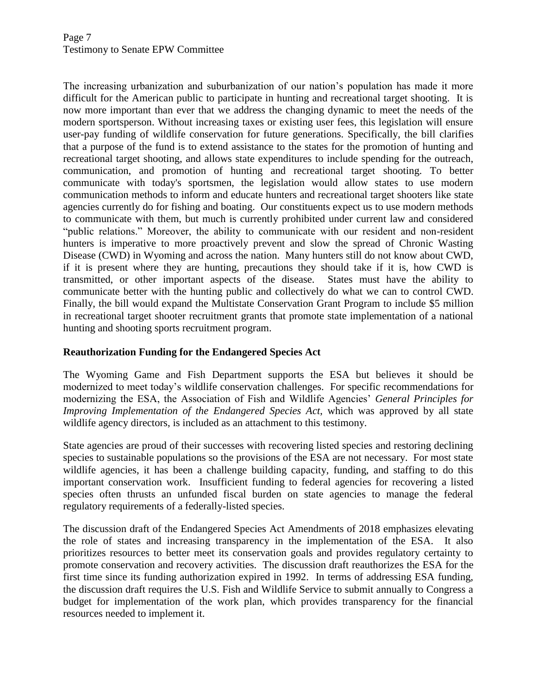The increasing urbanization and suburbanization of our nation's population has made it more difficult for the American public to participate in hunting and recreational target shooting. It is now more important than ever that we address the changing dynamic to meet the needs of the modern sportsperson. Without increasing taxes or existing user fees, this legislation will ensure user-pay funding of wildlife conservation for future generations. Specifically, the bill clarifies that a purpose of the fund is to extend assistance to the states for the promotion of hunting and recreational target shooting, and allows state expenditures to include spending for the outreach, communication, and promotion of hunting and recreational target shooting. To better communicate with today's sportsmen, the legislation would allow states to use modern communication methods to inform and educate hunters and recreational target shooters like state agencies currently do for fishing and boating. Our constituents expect us to use modern methods to communicate with them, but much is currently prohibited under current law and considered "public relations." Moreover, the ability to communicate with our resident and non-resident hunters is imperative to more proactively prevent and slow the spread of Chronic Wasting Disease (CWD) in Wyoming and across the nation. Many hunters still do not know about CWD, if it is present where they are hunting, precautions they should take if it is, how CWD is transmitted, or other important aspects of the disease. States must have the ability to communicate better with the hunting public and collectively do what we can to control CWD. Finally, the bill would expand the Multistate Conservation Grant Program to include \$5 million in recreational target shooter recruitment grants that promote state implementation of a national hunting and shooting sports recruitment program.

# **Reauthorization Funding for the Endangered Species Act**

The Wyoming Game and Fish Department supports the ESA but believes it should be modernized to meet today's wildlife conservation challenges. For specific recommendations for modernizing the ESA, the Association of Fish and Wildlife Agencies' *General Principles for Improving Implementation of the Endangered Species Act*, which was approved by all state wildlife agency directors, is included as an attachment to this testimony.

State agencies are proud of their successes with recovering listed species and restoring declining species to sustainable populations so the provisions of the ESA are not necessary. For most state wildlife agencies, it has been a challenge building capacity, funding, and staffing to do this important conservation work. Insufficient funding to federal agencies for recovering a listed species often thrusts an unfunded fiscal burden on state agencies to manage the federal regulatory requirements of a federally-listed species.

The discussion draft of the Endangered Species Act Amendments of 2018 emphasizes elevating the role of states and increasing transparency in the implementation of the ESA. It also prioritizes resources to better meet its conservation goals and provides regulatory certainty to promote conservation and recovery activities. The discussion draft reauthorizes the ESA for the first time since its funding authorization expired in 1992. In terms of addressing ESA funding, the discussion draft requires the U.S. Fish and Wildlife Service to submit annually to Congress a budget for implementation of the work plan, which provides transparency for the financial resources needed to implement it.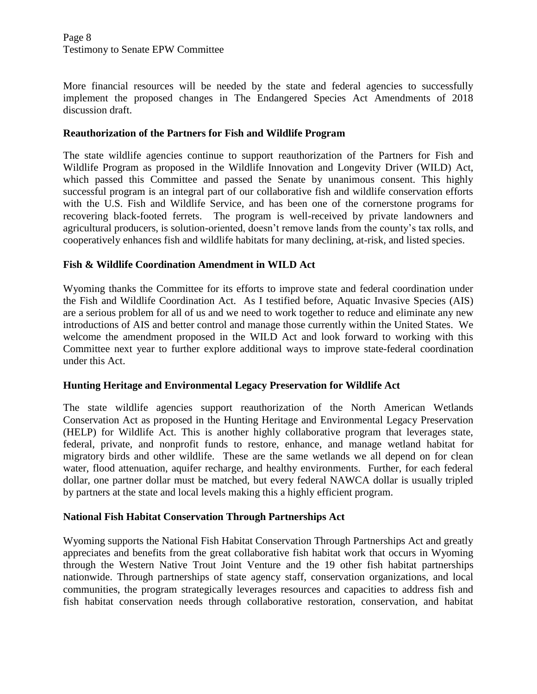More financial resources will be needed by the state and federal agencies to successfully implement the proposed changes in The Endangered Species Act Amendments of 2018 discussion draft.

#### **Reauthorization of the Partners for Fish and Wildlife Program**

The state wildlife agencies continue to support reauthorization of the Partners for Fish and Wildlife Program as proposed in the Wildlife Innovation and Longevity Driver (WILD) Act, which passed this Committee and passed the Senate by unanimous consent. This highly successful program is an integral part of our collaborative fish and wildlife conservation efforts with the U.S. Fish and Wildlife Service, and has been one of the cornerstone programs for recovering black-footed ferrets. The program is well-received by private landowners and agricultural producers, is solution-oriented, doesn't remove lands from the county's tax rolls, and cooperatively enhances fish and wildlife habitats for many declining, at-risk, and listed species.

### **Fish & Wildlife Coordination Amendment in WILD Act**

Wyoming thanks the Committee for its efforts to improve state and federal coordination under the Fish and Wildlife Coordination Act. As I testified before, Aquatic Invasive Species (AIS) are a serious problem for all of us and we need to work together to reduce and eliminate any new introductions of AIS and better control and manage those currently within the United States. We welcome the amendment proposed in the WILD Act and look forward to working with this Committee next year to further explore additional ways to improve state-federal coordination under this Act.

# **Hunting Heritage and Environmental Legacy Preservation for Wildlife Act**

The state wildlife agencies support reauthorization of the North American Wetlands Conservation Act as proposed in the Hunting Heritage and Environmental Legacy Preservation (HELP) for Wildlife Act. This is another highly collaborative program that leverages state, federal, private, and nonprofit funds to restore, enhance, and manage wetland habitat for migratory birds and other wildlife. These are the same wetlands we all depend on for clean water, flood attenuation, aquifer recharge, and healthy environments. Further, for each federal dollar, one partner dollar must be matched, but every federal NAWCA dollar is usually tripled by partners at the state and local levels making this a highly efficient program.

#### **National Fish Habitat Conservation Through Partnerships Act**

Wyoming supports the National Fish Habitat Conservation Through Partnerships Act and greatly appreciates and benefits from the great collaborative fish habitat work that occurs in Wyoming through the Western Native Trout Joint Venture and the 19 other fish habitat partnerships nationwide. Through partnerships of state agency staff, conservation organizations, and local communities, the program strategically leverages resources and capacities to address fish and fish habitat conservation needs through collaborative restoration, conservation, and habitat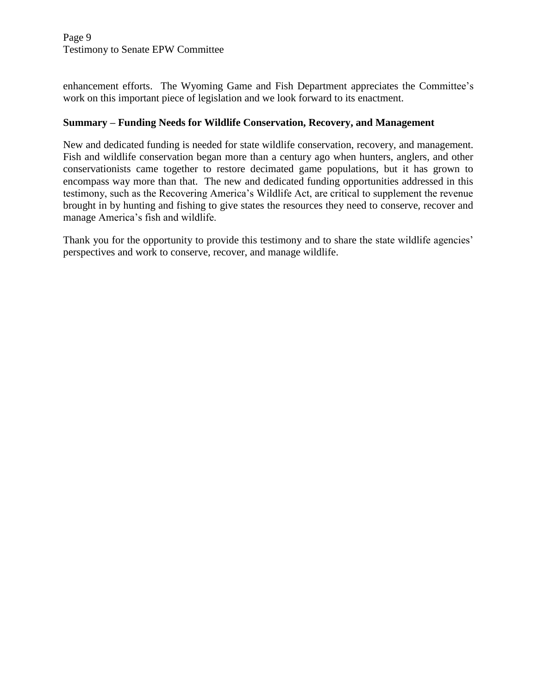enhancement efforts. The Wyoming Game and Fish Department appreciates the Committee's work on this important piece of legislation and we look forward to its enactment.

### **Summary – Funding Needs for Wildlife Conservation, Recovery, and Management**

New and dedicated funding is needed for state wildlife conservation, recovery, and management. Fish and wildlife conservation began more than a century ago when hunters, anglers, and other conservationists came together to restore decimated game populations, but it has grown to encompass way more than that. The new and dedicated funding opportunities addressed in this testimony, such as the Recovering America's Wildlife Act, are critical to supplement the revenue brought in by hunting and fishing to give states the resources they need to conserve, recover and manage America's fish and wildlife.

Thank you for the opportunity to provide this testimony and to share the state wildlife agencies' perspectives and work to conserve, recover, and manage wildlife.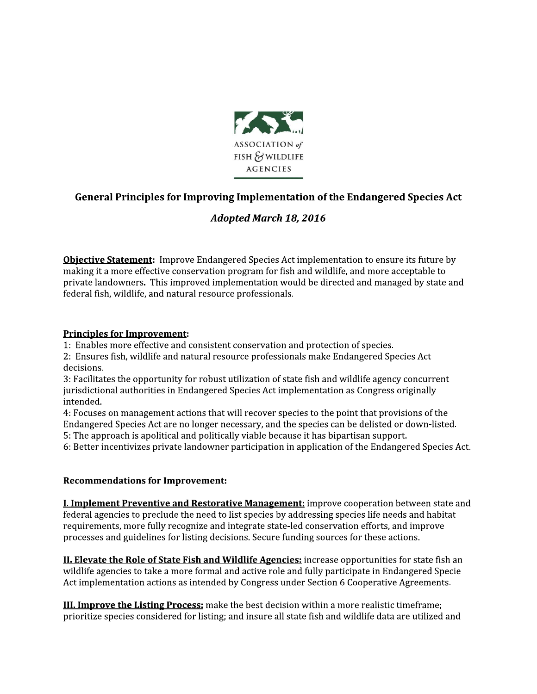

# General Principles for Improving Implementation of the Endangered Species Act

# **Adopted March 18, 2016**

Objective Statement: Improve Endangered Species Act implementation to ensure its future by making it a more effective conservation program for fish and wildlife, and more acceptable to private landowners. This improved implementation would be directed and managed by state and federal fish, wildlife, and natural resource professionals.

#### **Principles for Improvement:**

1: Enables more effective and consistent conservation and protection of species.

2: Ensures fish, wildlife and natural resource professionals make Endangered Species Act decisions.

3: Facilitates the opportunity for robust utilization of state fish and wildlife agency concurrent jurisdictional authorities in Endangered Species Act implementation as Congress originally intended.

4: Focuses on management actions that will recover species to the point that provisions of the Endangered Species Act are no longer necessary, and the species can be delisted or down-listed.

5: The approach is apolitical and politically viable because it has bipartisan support.

6: Better incentivizes private landowner participation in application of the Endangered Species Act.

#### **Recommendations for Improvement:**

**I. Implement Preventive and Restorative Management:** improve cooperation between state and federal agencies to preclude the need to list species by addressing species life needs and habitat requirements, more fully recognize and integrate state-led conservation efforts, and improve processes and guidelines for listing decisions. Secure funding sources for these actions.

**II. Elevate the Role of State Fish and Wildlife Agencies:** increase opportunities for state fish an wildlife agencies to take a more formal and active role and fully participate in Endangered Specie Act implementation actions as intended by Congress under Section 6 Cooperative Agreements.

**III. Improve the Listing Process:** make the best decision within a more realistic timeframe; prioritize species considered for listing; and insure all state fish and wildlife data are utilized and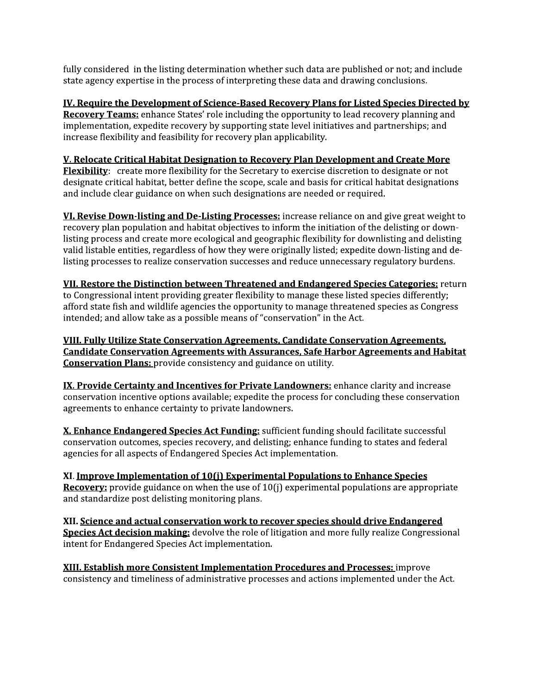fully considered in the listing determination whether such data are published or not; and include state agency expertise in the process of interpreting these data and drawing conclusions.

IV. Require the Development of Science-Based Recovery Plans for Listed Species Directed by Recovery Teams: enhance States' role including the opportunity to lead recovery planning and implementation, expedite recovery by supporting state level initiatives and partnerships; and increase flexibility and feasibility for recovery plan applicability.

### V. Relocate Critical Habitat Designation to Recovery Plan Development and Create More

Flexibility: create more flexibility for the Secretary to exercise discretion to designate or not designate critical habitat, better define the scope, scale and basis for critical habitat designations and include clear guidance on when such designations are needed or required.

VI. Revise Down-listing and De-Listing Processes: increase reliance on and give great weight to recovery plan population and habitat objectives to inform the initiation of the delisting or downlisting process and create more ecological and geographic flexibility for downlisting and delisting valid listable entities, regardless of how they were originally listed; expedite down-listing and delisting processes to realize conservation successes and reduce unnecessary regulatory burdens.

VII. Restore the Distinction between Threatened and Endangered Species Categories: return to Congressional intent providing greater flexibility to manage these listed species differently; afford state fish and wildlife agencies the opportunity to manage threatened species as Congress intended; and allow take as a possible means of "conservation" in the Act.

VIII. Fully Utilize State Conservation Agreements, Candidate Conservation Agreements. **Candidate Conservation Agreements with Assurances, Safe Harbor Agreements and Habitat Conservation Plans:** provide consistency and guidance on utility.

IX. Provide Certainty and Incentives for Private Landowners: enhance clarity and increase conservation incentive options available; expedite the process for concluding these conservation agreements to enhance certainty to private landowners.

X. Enhance Endangered Species Act Funding: sufficient funding should facilitate successful conservation outcomes, species recovery, and delisting; enhance funding to states and federal agencies for all aspects of Endangered Species Act implementation.

XI. Improve Implementation of 10(j) Experimental Populations to Enhance Species Recovery: provide guidance on when the use of 10(j) experimental populations are appropriate and standardize post delisting monitoring plans.

XII. Science and actual conservation work to recover species should drive Endangered Species Act decision making: devolve the role of litigation and more fully realize Congressional intent for Endangered Species Act implementation.

**XIII. Establish more Consistent Implementation Procedures and Processes:** improve consistency and timeliness of administrative processes and actions implemented under the Act.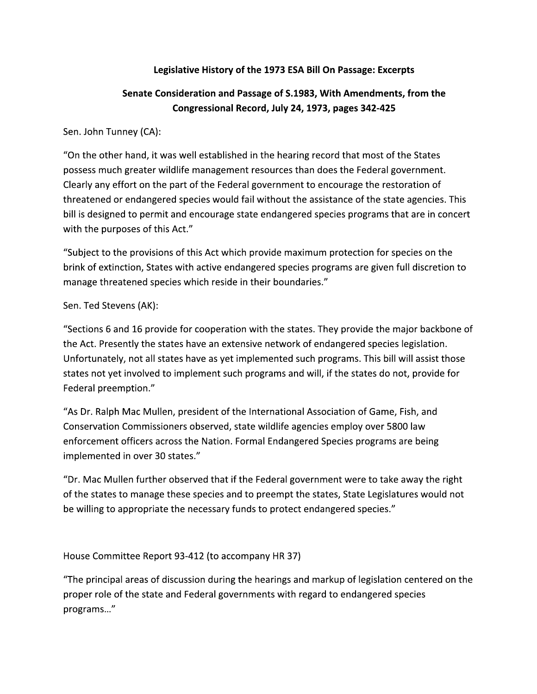# Legislative History of the 1973 ESA Bill On Passage: Excerpts

# Senate Consideration and Passage of S.1983, With Amendments, from the Congressional Record, July 24, 1973, pages 342-425

Sen. John Tunney (CA):

"On the other hand, it was well established in the hearing record that most of the States possess much greater wildlife management resources than does the Federal government. Clearly any effort on the part of the Federal government to encourage the restoration of threatened or endangered species would fail without the assistance of the state agencies. This bill is designed to permit and encourage state endangered species programs that are in concert with the purposes of this Act."

"Subject to the provisions of this Act which provide maximum protection for species on the brink of extinction, States with active endangered species programs are given full discretion to manage threatened species which reside in their boundaries."

### Sen. Ted Stevens (AK):

"Sections 6 and 16 provide for cooperation with the states. They provide the major backbone of the Act. Presently the states have an extensive network of endangered species legislation. Unfortunately, not all states have as yet implemented such programs. This bill will assist those states not yet involved to implement such programs and will, if the states do not, provide for Federal preemption."

"As Dr. Ralph Mac Mullen, president of the International Association of Game, Fish, and Conservation Commissioners observed, state wildlife agencies employ over 5800 law enforcement officers across the Nation. Formal Endangered Species programs are being implemented in over 30 states."

"Dr. Mac Mullen further observed that if the Federal government were to take away the right of the states to manage these species and to preempt the states, State Legislatures would not be willing to appropriate the necessary funds to protect endangered species."

House Committee Report 93-412 (to accompany HR 37)

"The principal areas of discussion during the hearings and markup of legislation centered on the proper role of the state and Federal governments with regard to endangered species programs..."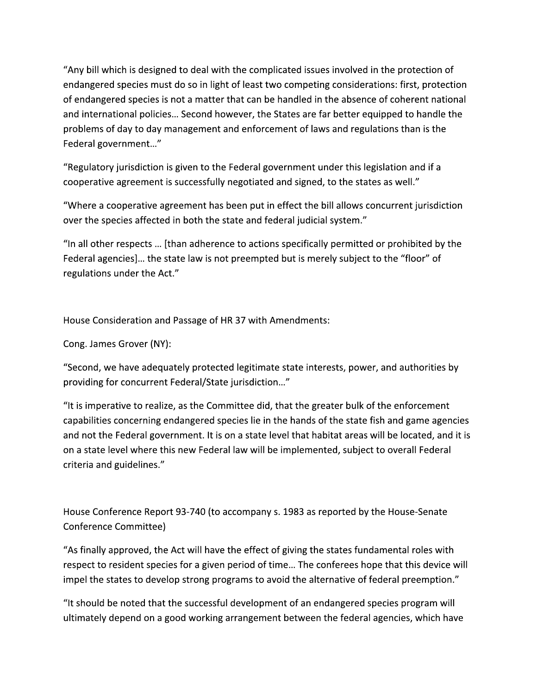"Any bill which is designed to deal with the complicated issues involved in the protection of endangered species must do so in light of least two competing considerations: first, protection of endangered species is not a matter that can be handled in the absence of coherent national and international policies... Second however, the States are far better equipped to handle the problems of day to day management and enforcement of laws and regulations than is the Federal government..."

"Regulatory jurisdiction is given to the Federal government under this legislation and if a cooperative agreement is successfully negotiated and signed, to the states as well."

"Where a cooperative agreement has been put in effect the bill allows concurrent jurisdiction over the species affected in both the state and federal judicial system."

"In all other respects ... [than adherence to actions specifically permitted or prohibited by the Federal agencies]... the state law is not preempted but is merely subject to the "floor" of regulations under the Act."

House Consideration and Passage of HR 37 with Amendments:

Cong. James Grover (NY):

"Second, we have adequately protected legitimate state interests, power, and authorities by providing for concurrent Federal/State jurisdiction..."

"It is imperative to realize, as the Committee did, that the greater bulk of the enforcement capabilities concerning endangered species lie in the hands of the state fish and game agencies and not the Federal government. It is on a state level that habitat areas will be located, and it is on a state level where this new Federal law will be implemented, subject to overall Federal criteria and guidelines."

House Conference Report 93-740 (to accompany s. 1983 as reported by the House-Senate Conference Committee)

"As finally approved, the Act will have the effect of giving the states fundamental roles with respect to resident species for a given period of time... The conferees hope that this device will impel the states to develop strong programs to avoid the alternative of federal preemption."

"It should be noted that the successful development of an endangered species program will ultimately depend on a good working arrangement between the federal agencies, which have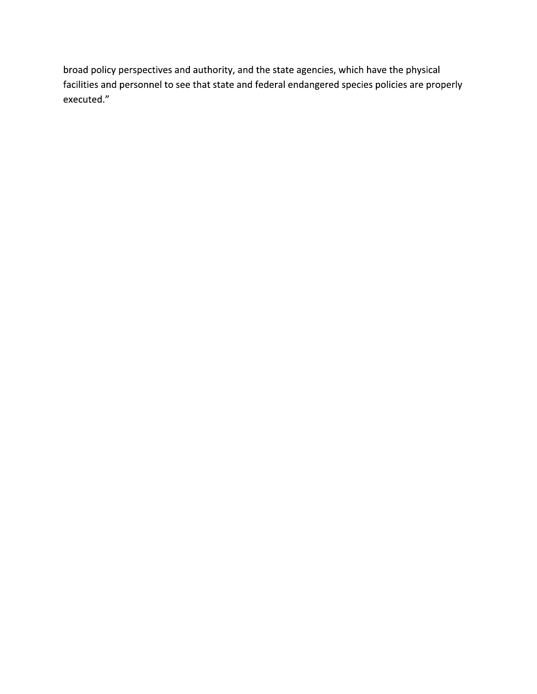broad policy perspectives and authority, and the state agencies, which have the physical facilities and personnel to see that state and federal endangered species policies are properly executed."